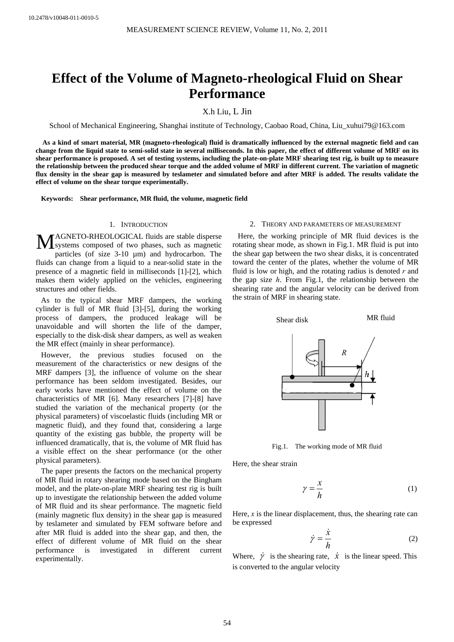# **Effect of the Volume of Magneto-rheological Fluid on Shear Performance**

X.h Liu, L Jin

School of Mechanical Engineering, Shanghai institute of Technology, Caobao Road, China, Liu\_xuhui79@163.com

**As a kind of smart material, MR (magneto-rheological) fluid is dramatically influenced by the external magnetic field and can change from the liquid state to semi-solid state in several milliseconds. In this paper, the effect of different volume of MRF on its shear performance is proposed. A set of testing systems, including the plate-on-plate MRF shearing test rig, is built up to measure the relationship between the produced shear torque and the added volume of MRF in different current. The variation of magnetic flux density in the shear gap is measured by teslameter and simulated before and after MRF is added. The results validate the effect of volume on the shear torque experimentally.** 

**Keywords: Shear performance, MR fluid, the volume, magnetic field** 

## 1. INTRODUCTION

AGNETO-RHEOLOGICAL fluids are stable disperse MAGNETO-RHEOLOGICAL fluids are stable disperse<br>systems composed of two phases, such as magnetic particles (of size 3-10 µm) and hydrocarbon. The fluids can change from a liquid to a near-solid state in the presence of a magnetic field in milliseconds [1]-[2], which makes them widely applied on the vehicles, engineering structures and other fields.

As to the typical shear MRF dampers, the working cylinder is full of MR fluid [3]-[5], during the working process of dampers, the produced leakage will be unavoidable and will shorten the life of the damper, especially to the disk-disk shear dampers, as well as weaken the MR effect (mainly in shear performance).

However, the previous studies focused on the measurement of the characteristics or new designs of the MRF dampers [3], the influence of volume on the shear performance has been seldom investigated. Besides, our early works have mentioned the effect of volume on the characteristics of MR [6]. Many researchers [7]-[8] have studied the variation of the mechanical property (or the physical parameters) of viscoelastic fluids (including MR or magnetic fluid), and they found that, considering a large quantity of the existing gas bubble, the property will be influenced dramatically, that is, the volume of MR fluid has a visible effect on the shear performance (or the other physical parameters).

The paper presents the factors on the mechanical property of MR fluid in rotary shearing mode based on the Bingham model, and the plate-on-plate MRF shearing test rig is built up to investigate the relationship between the added volume of MR fluid and its shear performance. The magnetic field (mainly magnetic flux density) in the shear gap is measured by teslameter and simulated by FEM software before and after MR fluid is added into the shear gap, and then, the effect of different volume of MR fluid on the shear performance is investigated in different current experimentally.

## 2. THEORY AND PARAMETERS OF MEASUREMENT

Here, the working principle of MR fluid devices is the rotating shear mode, as shown in Fig.1. MR fluid is put into the shear gap between the two shear disks, it is concentrated toward the center of the plates, whether the volume of MR fluid is low or high, and the rotating radius is denoted *r* and the gap size *h*. From Fig.1, the relationship between the shearing rate and the angular velocity can be derived from the strain of MRF in shearing state.



Fig.1. The working mode of MR fluid

Here, the shear strain

$$
\gamma = \frac{x}{h} \tag{1}
$$

Here, *x* is the linear displacement, thus, the shearing rate can be expressed

$$
\dot{\gamma} = \frac{\dot{x}}{h} \tag{2}
$$

Where,  $\dot{\gamma}$  is the shearing rate,  $\dot{x}$  is the linear speed. This is converted to the angular velocity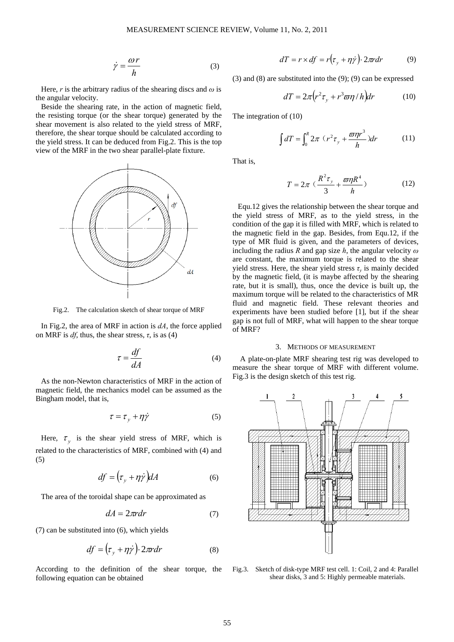$$
\dot{\gamma} = \frac{\omega r}{h} \tag{3}
$$

Here, *r* is the arbitrary radius of the shearing discs and  $\omega$  is the angular velocity.

Beside the shearing rate, in the action of magnetic field, the resisting torque (or the shear torque) generated by the shear movement is also related to the yield stress of MRF, therefore, the shear torque should be calculated according to the yield stress. It can be deduced from Fig.2. This is the top view of the MRF in the two shear parallel-plate fixture.



Fig.2. The calculation sketch of shear torque of MRF

In Fig.2, the area of MRF in action is *dA*, the force applied on MRF is  $df$ , thus, the shear stress,  $\tau$ , is as (4)

$$
\tau = \frac{df}{dA} \tag{4}
$$

As the non-Newton characteristics of MRF in the action of magnetic field, the mechanics model can be assumed as the Bingham model, that is,

$$
\tau = \tau_y + \eta \dot{\gamma} \tag{5}
$$

Here,  $\tau_{v}$  is the shear yield stress of MRF, which is related to the characteristics of MRF, combined with (4) and (5)

$$
df = \left(\tau_y + \eta \dot{\gamma}\right) dA \tag{6}
$$

The area of the toroidal shape can be approximated as

$$
dA = 2\pi r dr \tag{7}
$$

(7) can be substituted into (6), which yields

$$
df = \left(\tau_y + \eta \dot{\gamma}\right) \cdot 2\pi r dr \tag{8}
$$

According to the definition of the shear torque, the following equation can be obtained

$$
dT = r \times df = r(\tau_y + \eta \dot{\gamma}) \cdot 2\pi r dr \tag{9}
$$

(3) and (8) are substituted into the (9); (9) can be expressed

$$
dT = 2\pi (r^2 \tau_y + r^3 \varpi \eta / h) dr \qquad (10)
$$

The integration of (10)

$$
\int dT = \int_0^R 2\pi (r^2 \tau_y + \frac{\varpi \eta r^3}{h}) dr \qquad (11)
$$

That is,

$$
T = 2\pi \left( \frac{R^2 \tau_y}{3} + \frac{\varpi \eta R^4}{h} \right) \tag{12}
$$

Equ.12 gives the relationship between the shear torque and the yield stress of MRF, as to the yield stress, in the condition of the gap it is filled with MRF, which is related to the magnetic field in the gap. Besides, from Equ.12, if the type of MR fluid is given, and the parameters of devices, including the radius *R* and gap size *h*, the angular velocity *ω* are constant, the maximum torque is related to the shear yield stress. Here, the shear yield stress  $\tau$ <sup>*y*</sup> is mainly decided by the magnetic field, (it is maybe affected by the shearing rate, but it is small), thus, once the device is built up, the maximum torque will be related to the characteristics of MR fluid and magnetic field. These relevant theories and experiments have been studied before [1], but if the shear gap is not full of MRF, what will happen to the shear torque of MRF?

## 3. METHODS OF MEASUREMENT

A plate-on-plate MRF shearing test rig was developed to measure the shear torque of MRF with different volume. Fig.3 is the design sketch of this test rig.



Fig.3. Sketch of disk-type MRF test cell. 1: Coil, 2 and 4: Parallel shear disks, 3 and 5: Highly permeable materials.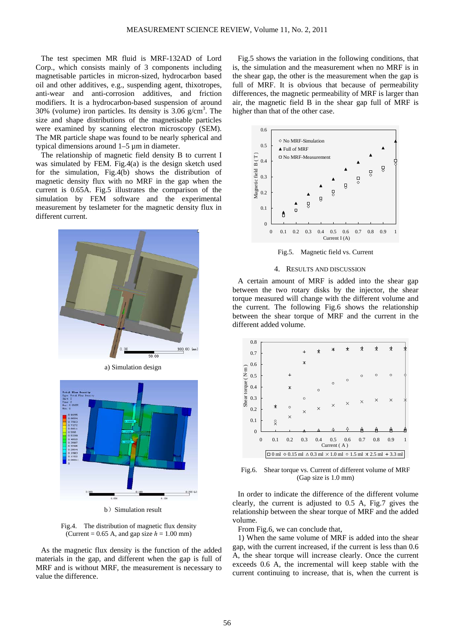The test specimen MR fluid is MRF-132AD of Lord Corp., which consists mainly of 3 components including magnetisable particles in micron-sized, hydrocarbon based oil and other additives, e.g., suspending agent, thixotropes, anti-wear and anti-corrosion additives, and friction modifiers. It is a hydrocarbon-based suspension of around 30% (volume) iron particles. Its density is 3.06  $g/cm<sup>3</sup>$ . The size and shape distributions of the magnetisable particles were examined by scanning electron microscopy (SEM). The MR particle shape was found to be nearly spherical and typical dimensions around 1–5 µm in diameter.

The relationship of magnetic field density B to current I was simulated by FEM. Fig.4(a) is the design sketch used for the simulation, Fig.4(b) shows the distribution of magnetic density flux with no MRF in the gap when the current is 0.65A. Fig.5 illustrates the comparison of the simulation by FEM software and the experimental measurement by teslameter for the magnetic density flux in different current.



a) Simulation design



b) Simulation result

Fig.4. The distribution of magnetic flux density (Current =  $0.65$  A, and gap size  $h = 1.00$  mm)

As the magnetic flux density is the function of the added materials in the gap, and different when the gap is full of MRF and is without MRF, the measurement is necessary to value the difference.

Fig.5 shows the variation in the following conditions, that is, the simulation and the measurement when no MRF is in the shear gap, the other is the measurement when the gap is full of MRF. It is obvious that because of permeability differences, the magnetic permeability of MRF is larger than air, the magnetic field B in the shear gap full of MRF is higher than that of the other case.



Fig.5. Magnetic field vs. Current

#### 4. RESULTS AND DISCUSSION

A certain amount of MRF is added into the shear gap between the two rotary disks by the injector, the shear torque measured will change with the different volume and the current. The following Fig.6 shows the relationship between the shear torque of MRF and the current in the different added volume.



Fig.6. Shear torque vs. Current of different volume of MRF (Gap size is 1.0 mm)

In order to indicate the difference of the different volume clearly, the current is adjusted to 0.5 A, Fig.7 gives the relationship between the shear torque of MRF and the added volume.

From Fig.6, we can conclude that,

1) When the same volume of MRF is added into the shear gap, with the current increased, if the current is less than 0.6 A, the shear torque will increase clearly. Once the current exceeds 0.6 A, the incremental will keep stable with the current continuing to increase, that is, when the current is